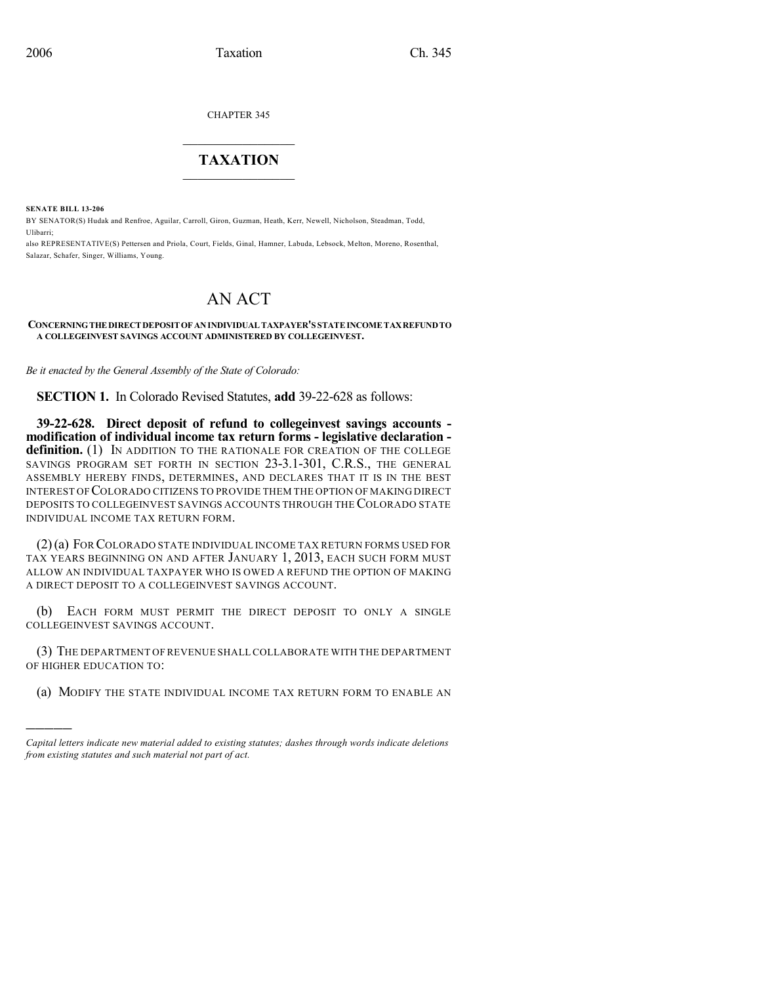CHAPTER 345

## $\mathcal{L}_\text{max}$  . The set of the set of the set of the set of the set of the set of the set of the set of the set of the set of the set of the set of the set of the set of the set of the set of the set of the set of the set **TAXATION**  $\_$

**SENATE BILL 13-206**

)))))

BY SENATOR(S) Hudak and Renfroe, Aguilar, Carroll, Giron, Guzman, Heath, Kerr, Newell, Nicholson, Steadman, Todd, Ulibarri;

also REPRESENTATIVE(S) Pettersen and Priola, Court, Fields, Ginal, Hamner, Labuda, Lebsock, Melton, Moreno, Rosenthal, Salazar, Schafer, Singer, Williams, Young.

## AN ACT

## **CONCERNINGTHE DIRECT DEPOSITOF ANINDIVIDUAL TAXPAYER'S STATEINCOME TAXREFUNDTO A COLLEGEINVEST SAVINGS ACCOUNT ADMINISTERED BY COLLEGEINVEST.**

*Be it enacted by the General Assembly of the State of Colorado:*

**SECTION 1.** In Colorado Revised Statutes, **add** 39-22-628 as follows:

**39-22-628. Direct deposit of refund to collegeinvest savings accounts modification of individual income tax return forms - legislative declaration**  definition. (1) IN ADDITION TO THE RATIONALE FOR CREATION OF THE COLLEGE SAVINGS PROGRAM SET FORTH IN SECTION 23-3.1-301, C.R.S., THE GENERAL ASSEMBLY HEREBY FINDS, DETERMINES, AND DECLARES THAT IT IS IN THE BEST INTEREST OF COLORADO CITIZENS TO PROVIDE THEM THE OPTION OF MAKING DIRECT DEPOSITS TO COLLEGEINVEST SAVINGS ACCOUNTS THROUGH THECOLORADO STATE INDIVIDUAL INCOME TAX RETURN FORM.

(2)(a) FOR COLORADO STATE INDIVIDUAL INCOME TAX RETURN FORMS USED FOR TAX YEARS BEGINNING ON AND AFTER JANUARY 1, 2013, EACH SUCH FORM MUST ALLOW AN INDIVIDUAL TAXPAYER WHO IS OWED A REFUND THE OPTION OF MAKING A DIRECT DEPOSIT TO A COLLEGEINVEST SAVINGS ACCOUNT.

(b) EACH FORM MUST PERMIT THE DIRECT DEPOSIT TO ONLY A SINGLE COLLEGEINVEST SAVINGS ACCOUNT.

(3) THE DEPARTMENT OF REVENUE SHALL COLLABORATE WITH THE DEPARTMENT OF HIGHER EDUCATION TO:

(a) MODIFY THE STATE INDIVIDUAL INCOME TAX RETURN FORM TO ENABLE AN

*Capital letters indicate new material added to existing statutes; dashes through words indicate deletions from existing statutes and such material not part of act.*